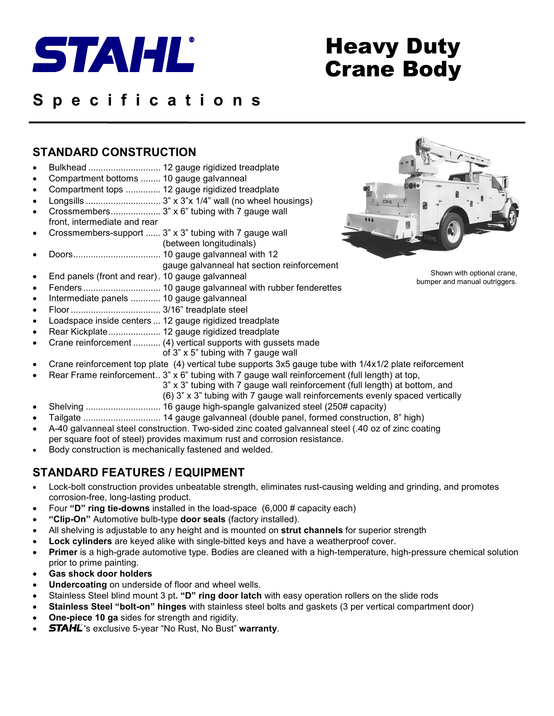

# Heavy Duty Crane Body

# **S p e c i f i c a t i o n s**

### **STANDARD CONSTRUCTION**

- Bulkhead ............................. 12 gauge rigidized treadplate
- Compartment bottoms ........ 10 gauge galvanneal
- Compartment tops .............. 12 gauge rigidized treadplate
- Longsills .............................. 3" x 3"x 1/4" wall (no wheel housings)
- Crossmembers.................... 3" x 6" tubing with 7 gauge wall front, intermediate and rear
- Crossmembers-support ...... 3" x 3" tubing with 7 gauge wall (between longitudinals)
- Doors................................... 10 gauge galvanneal with 12 gauge galvanneal hat section reinforcement
- End panels (front and rear). 10 gauge galvanneal
- Fenders ............................... 10 gauge galvanneal with rubber fenderettes
- Intermediate panels ............ 10 gauge galvanneal
- Floor .................................... 3/16" treadplate steel
- Loadspace inside centers ... 12 gauge rigidized treadplate
- Rear Kickplate..................... 12 gauge rigidized treadplate
- Crane reinforcement ........... (4) vertical supports with gussets made
- of 3" x 5" tubing with 7 gauge wall
- Crane reinforcement top plate (4) vertical tube supports 3x5 gauge tube with 1/4x1/2 plate reiforcement
- Rear Frame reinforcement..  $3'' \times 6''$  tubing with 7 gauge wall reinforcement (full length) at top,
	- 3" x 3" tubing with 7 gauge wall reinforcement (full length) at bottom, and
		- (6) 3" x 3" tubing with 7 gauge wall reinforcements evenly spaced vertically
- Shelving .............................. 16 gauge high-spangle galvanized steel (250# capacity)
- Tailgate ............................... 14 gauge galvanneal (double panel, formed construction, 8" high)
- A-40 galvanneal steel construction. Two-sided zinc coated galvanneal steel (.40 oz of zinc coating per square foot of steel) provides maximum rust and corrosion resistance.
- Body construction is mechanically fastened and welded.

### **STANDARD FEATURES / EQUIPMENT**

- Lock-bolt construction provides unbeatable strength, eliminates rust-causing welding and grinding, and promotes corrosion-free, long-lasting product.
- Four **"D" ring tie-downs** installed in the load-space (6,000 # capacity each)
- **"Clip-On"** Automotive bulb-type **door seals** (factory installed).
- All shelving is adjustable to any height and is mounted on **strut channels** for superior strength
- **Lock cylinders** are keyed alike with single-bitted keys and have a weatherproof cover.
- **Primer** is a high-grade automotive type. Bodies are cleaned with a high-temperature, high-pressure chemical solution prior to prime painting.
- **Gas shock door holders**
- **Undercoating** on underside of floor and wheel wells.
- Stainless Steel blind mount 3 pt**. "D" ring door latch** with easy operation rollers on the slide rods
- **Stainless Steel "bolt-on" hinges** with stainless steel bolts and gaskets (3 per vertical compartment door)
- **One-piece 10 ga** sides for strength and rigidity.
- **STAHL**'s exclusive 5-year "No Rust, No Bust" warranty.



Shown with optional crane, bumper and manual outriggers.